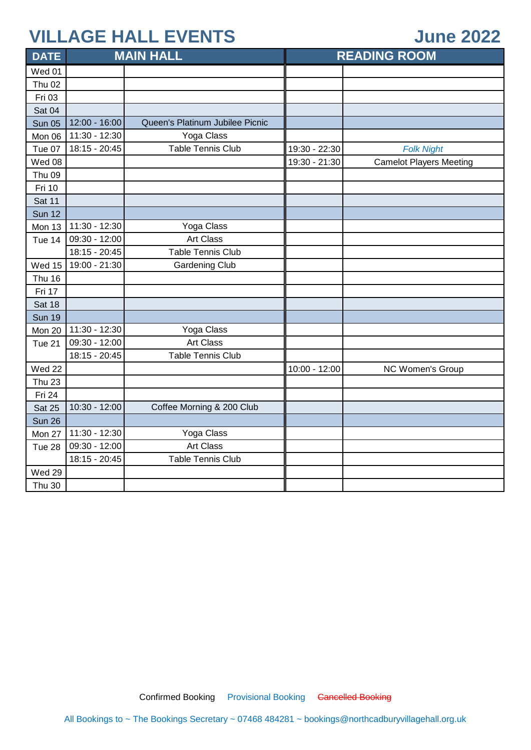#### **June 2022**

| <b>DATE</b>   |                 | <b>MAIN HALL</b>                |               | <b>READING ROOM</b>            |
|---------------|-----------------|---------------------------------|---------------|--------------------------------|
| Wed 01        |                 |                                 |               |                                |
| <b>Thu 02</b> |                 |                                 |               |                                |
| Fri 03        |                 |                                 |               |                                |
| Sat 04        |                 |                                 |               |                                |
| <b>Sun 05</b> | 12:00 - 16:00   | Queen's Platinum Jubilee Picnic |               |                                |
| Mon 06        | 11:30 - 12:30   | Yoga Class                      |               |                                |
| Tue 07        | 18:15 - 20:45   | <b>Table Tennis Club</b>        | 19:30 - 22:30 | <b>Folk Night</b>              |
| Wed 08        |                 |                                 | 19:30 - 21:30 | <b>Camelot Players Meeting</b> |
| <b>Thu 09</b> |                 |                                 |               |                                |
| Fri 10        |                 |                                 |               |                                |
| Sat 11        |                 |                                 |               |                                |
| <b>Sun 12</b> |                 |                                 |               |                                |
| Mon 13        | 11:30 - 12:30   | Yoga Class                      |               |                                |
| Tue 14        | 09:30 - 12:00   | <b>Art Class</b>                |               |                                |
|               | $18:15 - 20:45$ | <b>Table Tennis Club</b>        |               |                                |
| Wed 15        | 19:00 - 21:30   | <b>Gardening Club</b>           |               |                                |
| <b>Thu 16</b> |                 |                                 |               |                                |
| Fri 17        |                 |                                 |               |                                |
| Sat 18        |                 |                                 |               |                                |
| <b>Sun 19</b> |                 |                                 |               |                                |
| Mon 20        | 11:30 - 12:30   | Yoga Class                      |               |                                |
| Tue 21        | 09:30 - 12:00   | Art Class                       |               |                                |
|               | 18:15 - 20:45   | <b>Table Tennis Club</b>        |               |                                |
| Wed 22        |                 |                                 | 10:00 - 12:00 | NC Women's Group               |
| <b>Thu 23</b> |                 |                                 |               |                                |
| Fri 24        |                 |                                 |               |                                |
| <b>Sat 25</b> | 10:30 - 12:00   | Coffee Morning & 200 Club       |               |                                |
| <b>Sun 26</b> |                 |                                 |               |                                |
| Mon 27        | 11:30 - 12:30   | Yoga Class                      |               |                                |
| Tue 28        | 09:30 - 12:00   | <b>Art Class</b>                |               |                                |
|               | 18:15 - 20:45   | <b>Table Tennis Club</b>        |               |                                |
| Wed 29        |                 |                                 |               |                                |
| <b>Thu 30</b> |                 |                                 |               |                                |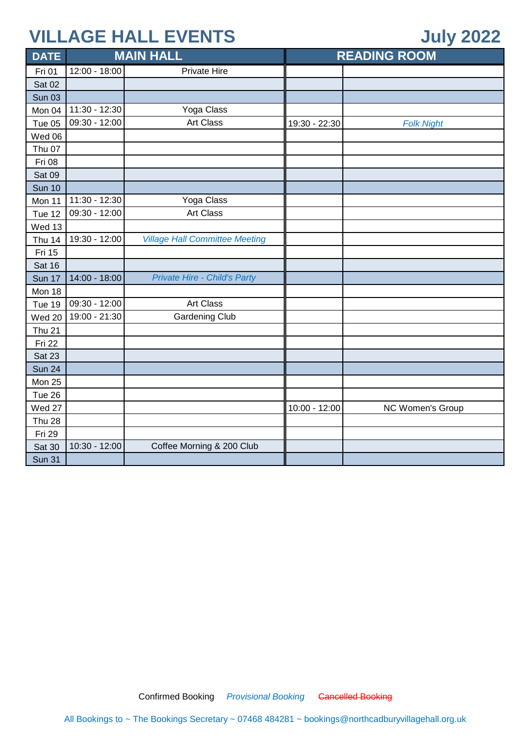### **July 2022**

| <b>DATE</b>   | <b>MAIN HALL</b> |                                       | <b>READING ROOM</b> |                         |
|---------------|------------------|---------------------------------------|---------------------|-------------------------|
| Fri 01        | 12:00 - 18:00    | <b>Private Hire</b>                   |                     |                         |
| <b>Sat 02</b> |                  |                                       |                     |                         |
| <b>Sun 03</b> |                  |                                       |                     |                         |
| Mon 04        | 11:30 - 12:30    | Yoga Class                            |                     |                         |
| Tue 05        | 09:30 - 12:00    | Art Class                             | 19:30 - 22:30       | <b>Folk Night</b>       |
| Wed 06        |                  |                                       |                     |                         |
| <b>Thu 07</b> |                  |                                       |                     |                         |
| <b>Fri 08</b> |                  |                                       |                     |                         |
| Sat 09        |                  |                                       |                     |                         |
| <b>Sun 10</b> |                  |                                       |                     |                         |
| Mon 11        | 11:30 - 12:30    | Yoga Class                            |                     |                         |
| <b>Tue 12</b> | 09:30 - 12:00    | <b>Art Class</b>                      |                     |                         |
| Wed 13        |                  |                                       |                     |                         |
| <b>Thu 14</b> | 19:30 - 12:00    | <b>Village Hall Committee Meeting</b> |                     |                         |
| Fri 15        |                  |                                       |                     |                         |
| Sat 16        |                  |                                       |                     |                         |
| <b>Sun 17</b> | 14:00 - 18:00    | <b>Private Hire - Child's Party</b>   |                     |                         |
| Mon 18        |                  |                                       |                     |                         |
| <b>Tue 19</b> | 09:30 - 12:00    | Art Class                             |                     |                         |
| Wed 20        | 19:00 - 21:30    | <b>Gardening Club</b>                 |                     |                         |
| <b>Thu 21</b> |                  |                                       |                     |                         |
| Fri 22        |                  |                                       |                     |                         |
| <b>Sat 23</b> |                  |                                       |                     |                         |
| <b>Sun 24</b> |                  |                                       |                     |                         |
| Mon 25        |                  |                                       |                     |                         |
| Tue 26        |                  |                                       |                     |                         |
| Wed 27        |                  |                                       | 10:00 - 12:00       | <b>NC Women's Group</b> |
| <b>Thu 28</b> |                  |                                       |                     |                         |
| Fri 29        |                  |                                       |                     |                         |
| Sat 30        | 10:30 - 12:00    | Coffee Morning & 200 Club             |                     |                         |
| <b>Sun 31</b> |                  |                                       |                     |                         |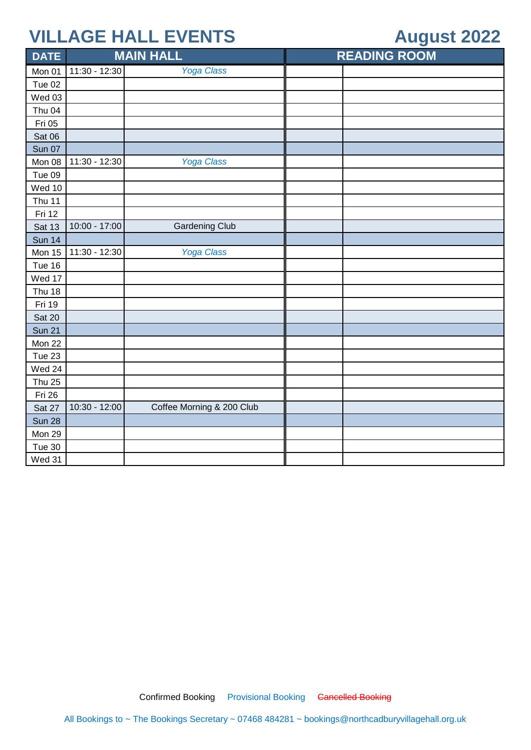## **August 2022**

| <b>DATE</b>   |               | <b>MAIN HALL</b>          | <b>READING ROOM</b> |
|---------------|---------------|---------------------------|---------------------|
| Mon 01        | 11:30 - 12:30 | <b>Yoga Class</b>         |                     |
| Tue 02        |               |                           |                     |
| Wed 03        |               |                           |                     |
| Thu 04        |               |                           |                     |
| Fri 05        |               |                           |                     |
| Sat 06        |               |                           |                     |
| <b>Sun 07</b> |               |                           |                     |
| Mon 08        | 11:30 - 12:30 | <b>Yoga Class</b>         |                     |
| Tue 09        |               |                           |                     |
| Wed 10        |               |                           |                     |
| Thu 11        |               |                           |                     |
| Fri 12        |               |                           |                     |
| <b>Sat 13</b> | 10:00 - 17:00 | <b>Gardening Club</b>     |                     |
| <b>Sun 14</b> |               |                           |                     |
| Mon 15        | 11:30 - 12:30 | <b>Yoga Class</b>         |                     |
| Tue 16        |               |                           |                     |
| Wed 17        |               |                           |                     |
| <b>Thu 18</b> |               |                           |                     |
| Fri 19        |               |                           |                     |
| <b>Sat 20</b> |               |                           |                     |
| <b>Sun 21</b> |               |                           |                     |
| Mon 22        |               |                           |                     |
| Tue 23        |               |                           |                     |
| Wed 24        |               |                           |                     |
| <b>Thu 25</b> |               |                           |                     |
| Fri 26        |               |                           |                     |
| Sat 27        | 10:30 - 12:00 | Coffee Morning & 200 Club |                     |
| <b>Sun 28</b> |               |                           |                     |
| Mon 29        |               |                           |                     |
| Tue 30        |               |                           |                     |
| Wed 31        |               |                           |                     |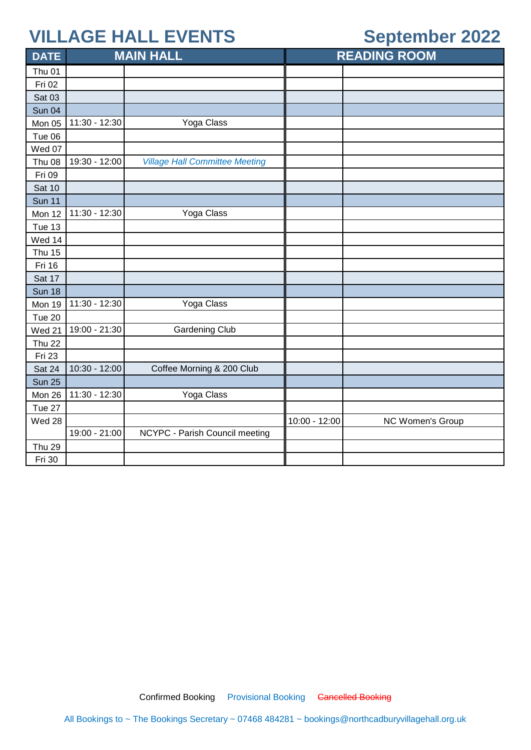## **September 2022**

| <b>DATE</b>   | <b>MAIN HALL</b> |                                       |               | <b>READING ROOM</b> |
|---------------|------------------|---------------------------------------|---------------|---------------------|
| Thu 01        |                  |                                       |               |                     |
| Fri 02        |                  |                                       |               |                     |
| <b>Sat 03</b> |                  |                                       |               |                     |
| <b>Sun 04</b> |                  |                                       |               |                     |
| Mon 05        | 11:30 - 12:30    | Yoga Class                            |               |                     |
| Tue 06        |                  |                                       |               |                     |
| Wed 07        |                  |                                       |               |                     |
| <b>Thu 08</b> | 19:30 - 12:00    | <b>Village Hall Committee Meeting</b> |               |                     |
| Fri 09        |                  |                                       |               |                     |
| <b>Sat 10</b> |                  |                                       |               |                     |
| <b>Sun 11</b> |                  |                                       |               |                     |
| Mon 12        | 11:30 - 12:30    | Yoga Class                            |               |                     |
| Tue 13        |                  |                                       |               |                     |
| Wed 14        |                  |                                       |               |                     |
| <b>Thu 15</b> |                  |                                       |               |                     |
| Fri 16        |                  |                                       |               |                     |
| Sat 17        |                  |                                       |               |                     |
| <b>Sun 18</b> |                  |                                       |               |                     |
| Mon 19        | 11:30 - 12:30    | Yoga Class                            |               |                     |
| Tue 20        |                  |                                       |               |                     |
| Wed 21        | 19:00 - 21:30    | <b>Gardening Club</b>                 |               |                     |
| <b>Thu 22</b> |                  |                                       |               |                     |
| <b>Fri 23</b> |                  |                                       |               |                     |
| Sat 24        | 10:30 - 12:00    | Coffee Morning & 200 Club             |               |                     |
| <b>Sun 25</b> |                  |                                       |               |                     |
| Mon 26        | 11:30 - 12:30    | Yoga Class                            |               |                     |
| Tue 27        |                  |                                       |               |                     |
| Wed 28        |                  |                                       | 10:00 - 12:00 | NC Women's Group    |
|               | 19:00 - 21:00    | NCYPC - Parish Council meeting        |               |                     |
| <b>Thu 29</b> |                  |                                       |               |                     |
| Fri 30        |                  |                                       |               |                     |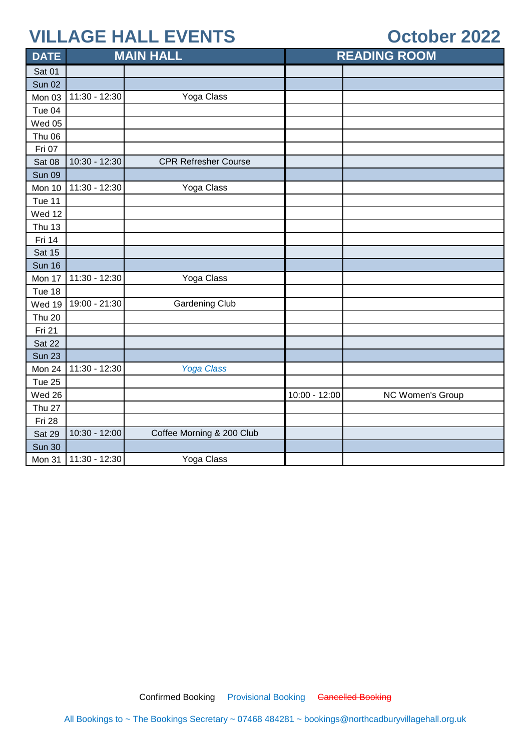### **October 2022**

| <b>DATE</b>   |               | <b>MAIN HALL</b>            |               | <b>READING ROOM</b> |
|---------------|---------------|-----------------------------|---------------|---------------------|
| Sat 01        |               |                             |               |                     |
| <b>Sun 02</b> |               |                             |               |                     |
| Mon 03        | 11:30 - 12:30 | Yoga Class                  |               |                     |
| Tue 04        |               |                             |               |                     |
| Wed 05        |               |                             |               |                     |
| <b>Thu 06</b> |               |                             |               |                     |
| Fri 07        |               |                             |               |                     |
| Sat 08        | 10:30 - 12:30 | <b>CPR Refresher Course</b> |               |                     |
| <b>Sun 09</b> |               |                             |               |                     |
| Mon 10        | 11:30 - 12:30 | Yoga Class                  |               |                     |
| Tue 11        |               |                             |               |                     |
| Wed 12        |               |                             |               |                     |
| <b>Thu 13</b> |               |                             |               |                     |
| Fri 14        |               |                             |               |                     |
| <b>Sat 15</b> |               |                             |               |                     |
| <b>Sun 16</b> |               |                             |               |                     |
| Mon 17        | 11:30 - 12:30 | Yoga Class                  |               |                     |
| Tue 18        |               |                             |               |                     |
| Wed 19        | 19:00 - 21:30 | <b>Gardening Club</b>       |               |                     |
| <b>Thu 20</b> |               |                             |               |                     |
| Fri 21        |               |                             |               |                     |
| Sat 22        |               |                             |               |                     |
| <b>Sun 23</b> |               |                             |               |                     |
| Mon 24        | 11:30 - 12:30 | <b>Yoga Class</b>           |               |                     |
| Tue 25        |               |                             |               |                     |
| Wed 26        |               |                             | 10:00 - 12:00 | NC Women's Group    |
| <b>Thu 27</b> |               |                             |               |                     |
| Fri 28        |               |                             |               |                     |
| Sat 29        | 10:30 - 12:00 | Coffee Morning & 200 Club   |               |                     |
| <b>Sun 30</b> |               |                             |               |                     |
| Mon 31        | 11:30 - 12:30 | Yoga Class                  |               |                     |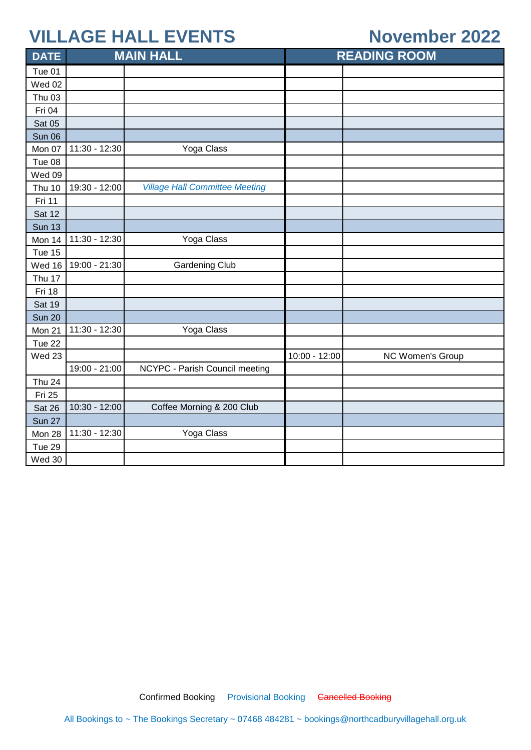#### **November 2022**

| <b>DATE</b>   |               | <b>MAIN HALL</b>                      |               | <b>READING ROOM</b> |
|---------------|---------------|---------------------------------------|---------------|---------------------|
| Tue 01        |               |                                       |               |                     |
| <b>Wed 02</b> |               |                                       |               |                     |
| <b>Thu 03</b> |               |                                       |               |                     |
| Fri 04        |               |                                       |               |                     |
| <b>Sat 05</b> |               |                                       |               |                     |
| <b>Sun 06</b> |               |                                       |               |                     |
| Mon 07        | 11:30 - 12:30 | Yoga Class                            |               |                     |
| Tue 08        |               |                                       |               |                     |
| Wed 09        |               |                                       |               |                     |
| Thu 10        | 19:30 - 12:00 | <b>Village Hall Committee Meeting</b> |               |                     |
| Fri 11        |               |                                       |               |                     |
| <b>Sat 12</b> |               |                                       |               |                     |
| <b>Sun 13</b> |               |                                       |               |                     |
| Mon 14        | 11:30 - 12:30 | Yoga Class                            |               |                     |
| Tue 15        |               |                                       |               |                     |
| Wed 16        | 19:00 - 21:30 | <b>Gardening Club</b>                 |               |                     |
| Thu 17        |               |                                       |               |                     |
| Fri 18        |               |                                       |               |                     |
| <b>Sat 19</b> |               |                                       |               |                     |
| <b>Sun 20</b> |               |                                       |               |                     |
| Mon 21        | 11:30 - 12:30 | Yoga Class                            |               |                     |
| Tue 22        |               |                                       |               |                     |
| Wed 23        |               |                                       | 10:00 - 12:00 | NC Women's Group    |
|               | 19:00 - 21:00 | NCYPC - Parish Council meeting        |               |                     |
| <b>Thu 24</b> |               |                                       |               |                     |
| Fri 25        |               |                                       |               |                     |
| Sat 26        | 10:30 - 12:00 | Coffee Morning & 200 Club             |               |                     |
| <b>Sun 27</b> |               |                                       |               |                     |
| Mon 28        | 11:30 - 12:30 | Yoga Class                            |               |                     |
| Tue 29        |               |                                       |               |                     |
| Wed 30        |               |                                       |               |                     |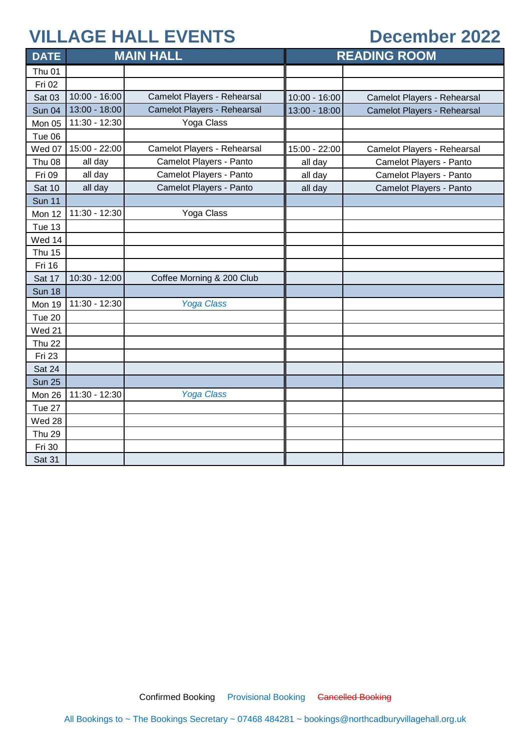#### **December 2022**

| <b>DATE</b>       | <b>MAIN HALL</b> |                             | <b>READING ROOM</b> |                             |
|-------------------|------------------|-----------------------------|---------------------|-----------------------------|
| Thu <sub>01</sub> |                  |                             |                     |                             |
| Fri 02            |                  |                             |                     |                             |
| Sat 03            | $10:00 - 16:00$  | Camelot Players - Rehearsal | 10:00 - 16:00       | Camelot Players - Rehearsal |
| <b>Sun 04</b>     | 13:00 - 18:00    | Camelot Players - Rehearsal | 13:00 - 18:00       | Camelot Players - Rehearsal |
| Mon 05            | 11:30 - 12:30    | Yoga Class                  |                     |                             |
| Tue 06            |                  |                             |                     |                             |
| Wed 07            | 15:00 - 22:00    | Camelot Players - Rehearsal | 15:00 - 22:00       | Camelot Players - Rehearsal |
| <b>Thu 08</b>     | all day          | Camelot Players - Panto     | all day             | Camelot Players - Panto     |
| Fri 09            | all day          | Camelot Players - Panto     | all day             | Camelot Players - Panto     |
| <b>Sat 10</b>     | all day          | Camelot Players - Panto     | all day             | Camelot Players - Panto     |
| <b>Sun 11</b>     |                  |                             |                     |                             |
| Mon 12            | 11:30 - 12:30    | Yoga Class                  |                     |                             |
| Tue 13            |                  |                             |                     |                             |
| Wed 14            |                  |                             |                     |                             |
| <b>Thu 15</b>     |                  |                             |                     |                             |
| <b>Fri 16</b>     |                  |                             |                     |                             |
| Sat 17            | 10:30 - 12:00    | Coffee Morning & 200 Club   |                     |                             |
| <b>Sun 18</b>     |                  |                             |                     |                             |
| Mon 19            | 11:30 - 12:30    | <b>Yoga Class</b>           |                     |                             |
| Tue 20            |                  |                             |                     |                             |
| Wed 21            |                  |                             |                     |                             |
| <b>Thu 22</b>     |                  |                             |                     |                             |
| Fri 23            |                  |                             |                     |                             |
| Sat 24            |                  |                             |                     |                             |
| <b>Sun 25</b>     |                  |                             |                     |                             |
| Mon 26            | 11:30 - 12:30    | <b>Yoga Class</b>           |                     |                             |
| Tue 27            |                  |                             |                     |                             |
| Wed 28            |                  |                             |                     |                             |
| <b>Thu 29</b>     |                  |                             |                     |                             |
| Fri 30            |                  |                             |                     |                             |
| Sat 31            |                  |                             |                     |                             |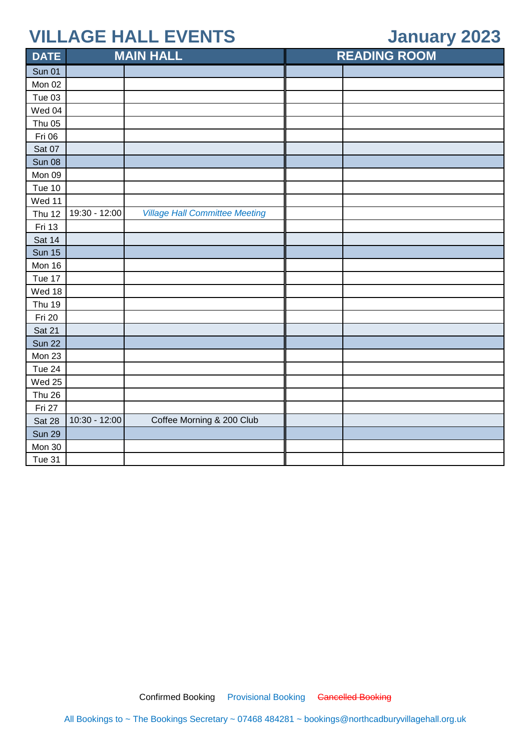### **January 2023**

| <b>DATE</b>   |               | <b>MAIN HALL</b>                      | <b>READING ROOM</b> |  |
|---------------|---------------|---------------------------------------|---------------------|--|
| <b>Sun 01</b> |               |                                       |                     |  |
| Mon 02        |               |                                       |                     |  |
| Tue 03        |               |                                       |                     |  |
| Wed 04        |               |                                       |                     |  |
| <b>Thu 05</b> |               |                                       |                     |  |
| Fri 06        |               |                                       |                     |  |
| Sat 07        |               |                                       |                     |  |
| <b>Sun 08</b> |               |                                       |                     |  |
| Mon 09        |               |                                       |                     |  |
| Tue 10        |               |                                       |                     |  |
| Wed 11        |               |                                       |                     |  |
| <b>Thu 12</b> | 19:30 - 12:00 | <b>Village Hall Committee Meeting</b> |                     |  |
| Fri 13        |               |                                       |                     |  |
| Sat 14        |               |                                       |                     |  |
| <b>Sun 15</b> |               |                                       |                     |  |
| Mon 16        |               |                                       |                     |  |
| Tue 17        |               |                                       |                     |  |
| Wed 18        |               |                                       |                     |  |
| <b>Thu 19</b> |               |                                       |                     |  |
| Fri 20        |               |                                       |                     |  |
| Sat 21        |               |                                       |                     |  |
| <b>Sun 22</b> |               |                                       |                     |  |
| Mon 23        |               |                                       |                     |  |
| <b>Tue 24</b> |               |                                       |                     |  |
| Wed 25        |               |                                       |                     |  |
| <b>Thu 26</b> |               |                                       |                     |  |
| Fri 27        |               |                                       |                     |  |
| <b>Sat 28</b> | 10:30 - 12:00 | Coffee Morning & 200 Club             |                     |  |
| <b>Sun 29</b> |               |                                       |                     |  |
| Mon 30        |               |                                       |                     |  |
| Tue 31        |               |                                       |                     |  |